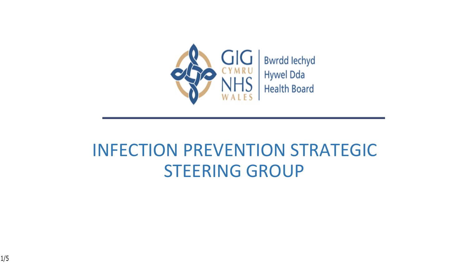

#### INFECTION PREVENTION STRATEGIC STEERING GROUP

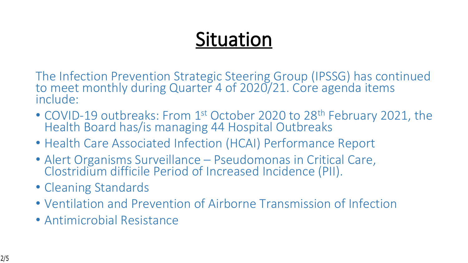# **Situation**

The Infection Prevention Strategic Steering Group (IPSSG) has continued to meet monthly during Quarter 4 of 2020/21. Core agenda items include:

- COVID-19 outbreaks: From 1<sup>st</sup> October 2020 to 28<sup>th</sup> February 2021, the Health Board has/is managing 44 Hospital Outbreaks
- Health Care Associated Infection (HCAI) Performance Report
- Alert Organisms Surveillance Pseudomonas in Critical Care, Clostridium difficile Period of Increased Incidence (PII).
- Cleaning Standards
- Ventilation and Prevention of Airborne Transmission of Infection
- Antimicrobial Resistance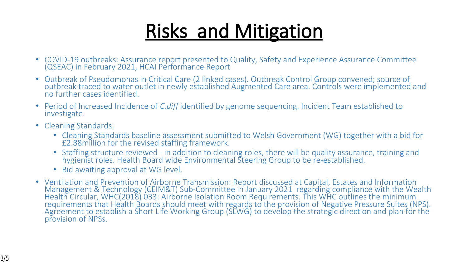# **Risks and Mitigation**

- COVID-19 outbreaks: Assurance report presented to Quality, Safety and Experience Assurance Committee (QSEAC) in February 2021, HCAI Performance Report
- Outbreak of Pseudomonas in Critical Care (2 linked cases). Outbreak Control Group convened; source of outbreak traced to water outlet in newly established Augmented Care area. Controls were implemented and no further cases identified.
- Period of Increased Incidence of *C.diff* identified by genome sequencing. Incident Team established to investigate.
- Cleaning Standards:
	- Cleaning Standards baseline assessment submitted to Welsh Government (WG) together with a bid for £2.88million for the revised staffing framework.
	- Staffing structure reviewed in addition to cleaning roles, there will be quality assurance, training and hygienist roles. Health Board wide Environmental Steering Group to be re-established.
	- Bid awaiting approval at WG level.
- Ventilation and Prevention of Airborne Transmission: Report discussed at Capital, Estates and Information Management & Technology (CEIM&T) Sub-Committee in January 2021 regarding compliance with the Wealth Health Circular, WHC(2018) 033: Airborne Isolation Room Requirements. This WHC outlines the minimum requirements that Health Boards should meet with regards to the provision of Negative Pressure Suites (NPS). Agreement to establish a Short Life Working Group (SLWG) to develop the strategic direction and plan for the provision of NPSs.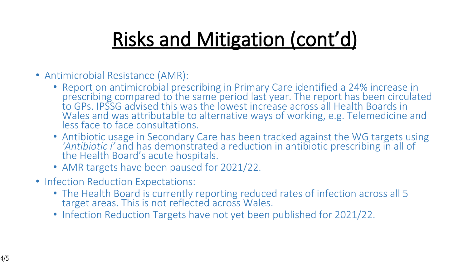# **Risks and Mitigation (cont'd)**

- Antimicrobial Resistance (AMR):
	- Report on antimicrobial prescribing in Primary Care identified a 24% increase in prescribing compared to the same period last year. The report has been circulated to GPs. IPSSG advised this was the lowest increase across all Health Boards in Wales and was attributable to alternative ways of working, e.g. Telemedicine and less face to face consultations.
	- Antibiotic usage in Secondary Care has been tracked against the WG targets using *'Antibiotic i'* and has demonstrated a reduction in antibiotic prescribing in all of the Health Board's acute hospitals.
	- AMR targets have been paused for 2021/22.
- Infection Reduction Expectations:
	- The Health Board is currently reporting reduced rates of infection across all 5 target areas. This is not reflected across Wales.
	- Infection Reduction Targets have not yet been published for 2021/22.